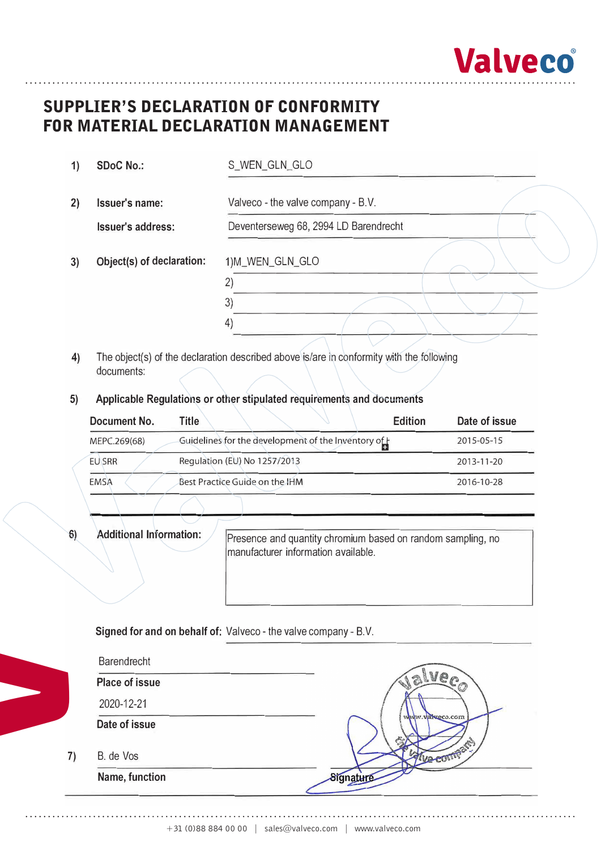

# **Supplier's Declaration of Conformity**  SUPPLIER'S DECLARATION OF CONFORMITY **for Material Declaration Management**  FOR MATERIAL DECLARATION MANAGEMENT

| 1) | <b>SDoC No.:</b>          | S_WEN_GLN_GLO                         |  |  |  |  |  |
|----|---------------------------|---------------------------------------|--|--|--|--|--|
| 2) | Issuer's name:            | Valveco - the valve company - B.V.    |  |  |  |  |  |
|    | <b>Issuer's address:</b>  | Deventerseweg 68, 2994 LD Barendrecht |  |  |  |  |  |
| 3) | Object(s) of declaration: | 1)M_WEN_GLN_GLO                       |  |  |  |  |  |
|    |                           | 2<br>3)                               |  |  |  |  |  |
|    |                           | $\overline{4}$                        |  |  |  |  |  |

- **4)** The object(s) of the declaration described above is/are in conformity with the following documents:
- **5) Applicable Regulations or other stipulated requirements and documents**

| Document No.  | <b>Edition</b><br><b>Title</b>                     | Date of issue |
|---------------|----------------------------------------------------|---------------|
| MEPC.269(68)  | Guidelines for the development of the Inventory of | 2015-05-15    |
| <b>EU SRR</b> | Regulation (EU) No 1257/2013                       | 2013-11-20    |
| <b>EMSA</b>   | Best Practice Guide on the IHM                     | 2016-10-28    |

**V**

**6) Additional Information:** Presence and quantity chromium based on random sampling, no manufacturer information available.

**Signed for and on behalf of:** Valveco - the valve company - B.V.

| Barendrecht           |                 |
|-----------------------|-----------------|
| <b>Place of issue</b> |                 |
| 2020-12-21            |                 |
| Date of issue         | www.valueco.com |
| B. de Vos             |                 |
| Name, function        |                 |